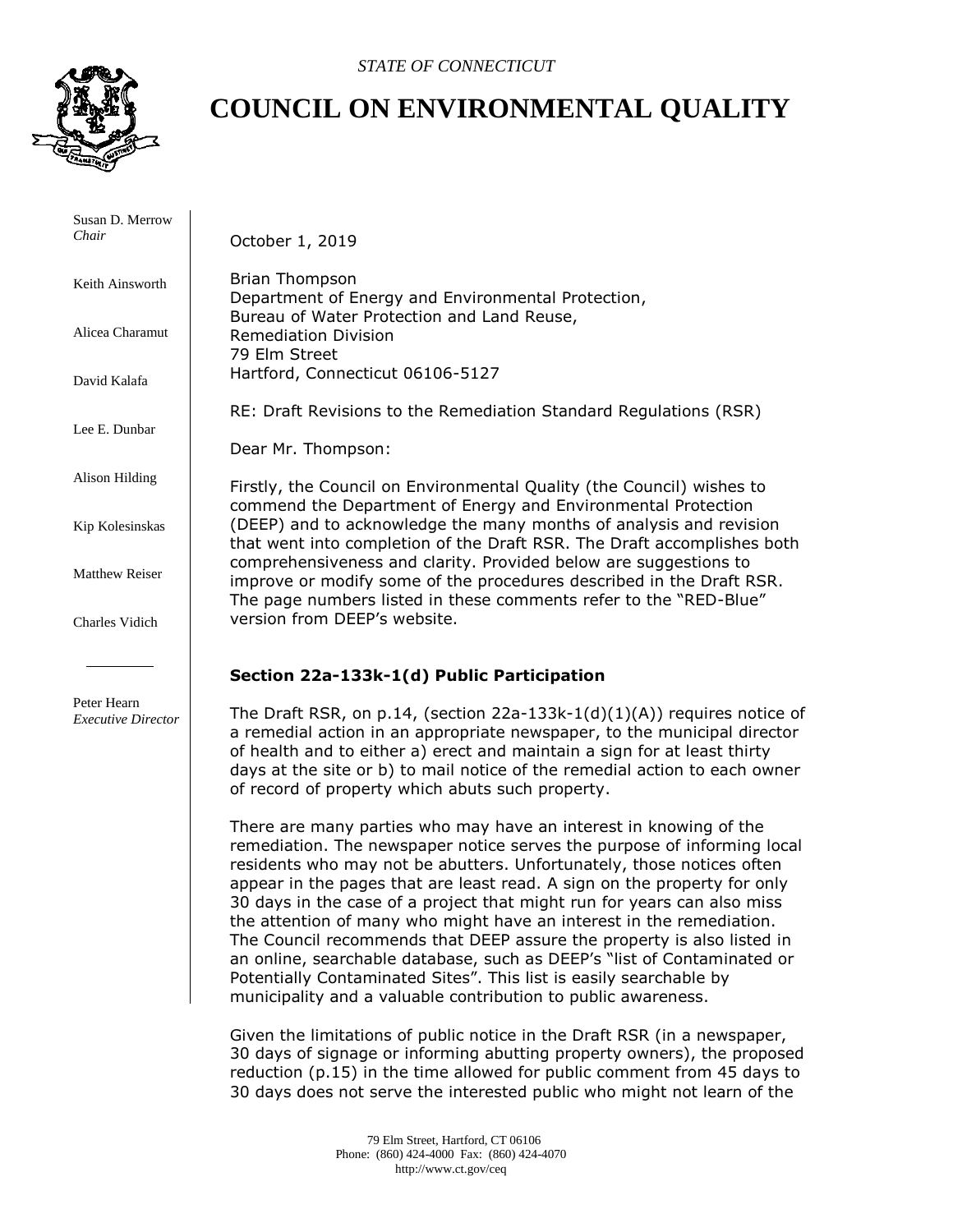

# **COUNCIL ON ENVIRONMENTAL QUALITY**

 Susan D. Merrow *Chair* Keith Ainsworth Alicea Charamut David Kalafa Lee E. Dunbar Alison Hilding Kip Kolesinskas Matthew Reiser Charles Vidich Peter Hearn *Executive Director* October 1, 2019 Brian Thompson Department of Energy and Environmental Protection, Bureau of Water Protection and Land Reuse, Remediation Division 79 Elm Street Hartford, Connecticut 06106-5127 RE: Draft Revisions to the Remediation Standard Regulations (RSR) Dear Mr. Thompson: Firstly, the Council on Environmental Quality (the Council) wishes to commend the Department of Energy and Environmental Protection (DEEP) and to acknowledge the many months of analysis and revision that went into completion of the Draft RSR. The Draft accomplishes both comprehensiveness and clarity. Provided below are suggestions to improve or modify some of the procedures described in the Draft RSR. The page numbers listed in these comments refer to the "RED-Blue" version from DEEP's website. **Section 22a-133k-1(d) Public Participation** The Draft RSR, on p.14, (section  $22a-133k-1(d)(1)(A)$ ) requires notice of a remedial action in an appropriate newspaper, to the municipal director of health and to either a) erect and maintain a sign for at least thirty days at the site or b) to mail notice of the remedial action to each owner of record of property which abuts such property. There are many parties who may have an interest in knowing of the remediation. The newspaper notice serves the purpose of informing local residents who may not be abutters. Unfortunately, those notices often appear in the pages that are least read. A sign on the property for only 30 days in the case of a project that might run for years can also miss the attention of many who might have an interest in the remediation. The Council recommends that DEEP assure the property is also listed in an online, searchable database, such as DEEP's "list of Contaminated or Potentially Contaminated Sites". This list is easily searchable by municipality and a valuable contribution to public awareness. Given the limitations of public notice in the Draft RSR (in a newspaper,

30 days of signage or informing abutting property owners), the proposed reduction (p.15) in the time allowed for public comment from 45 days to 30 days does not serve the interested public who might not learn of the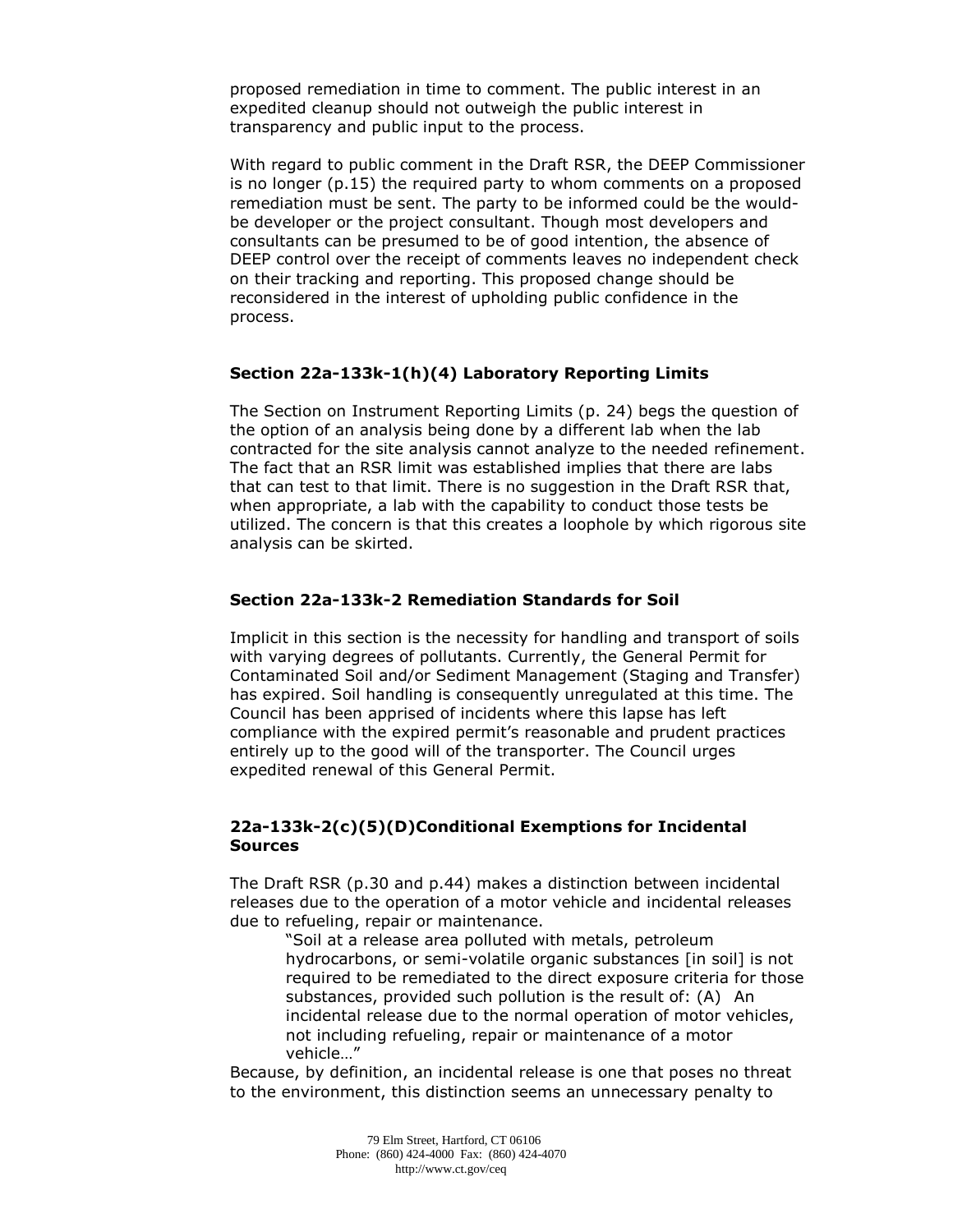proposed remediation in time to comment. The public interest in an expedited cleanup should not outweigh the public interest in transparency and public input to the process.

With regard to public comment in the Draft RSR, the DEEP Commissioner is no longer (p.15) the required party to whom comments on a proposed remediation must be sent. The party to be informed could be the wouldbe developer or the project consultant. Though most developers and consultants can be presumed to be of good intention, the absence of DEEP control over the receipt of comments leaves no independent check on their tracking and reporting. This proposed change should be reconsidered in the interest of upholding public confidence in the process.

## **Section 22a-133k-1(h)(4) Laboratory Reporting Limits**

The Section on Instrument Reporting Limits (p. 24) begs the question of the option of an analysis being done by a different lab when the lab contracted for the site analysis cannot analyze to the needed refinement. The fact that an RSR limit was established implies that there are labs that can test to that limit. There is no suggestion in the Draft RSR that, when appropriate, a lab with the capability to conduct those tests be utilized. The concern is that this creates a loophole by which rigorous site analysis can be skirted.

## **Section 22a-133k-2 Remediation Standards for Soil**

Implicit in this section is the necessity for handling and transport of soils with varying degrees of pollutants. Currently, the General Permit for Contaminated Soil and/or Sediment Management (Staging and Transfer) has expired. Soil handling is consequently unregulated at this time. The Council has been apprised of incidents where this lapse has left compliance with the expired permit's reasonable and prudent practices entirely up to the good will of the transporter. The Council urges expedited renewal of this General Permit.

## **22a-133k-2(c)(5)(D)Conditional Exemptions for Incidental Sources**

The Draft RSR (p.30 and p.44) makes a distinction between incidental releases due to the operation of a motor vehicle and incidental releases due to refueling, repair or maintenance.

"Soil at a release area polluted with metals, petroleum hydrocarbons, or semi-volatile organic substances [in soil] is not required to be remediated to the direct exposure criteria for those substances, provided such pollution is the result of: (A) An incidental release due to the normal operation of motor vehicles, not including refueling, repair or maintenance of a motor vehicle…"

Because, by definition, an incidental release is one that poses no threat to the environment, this distinction seems an unnecessary penalty to